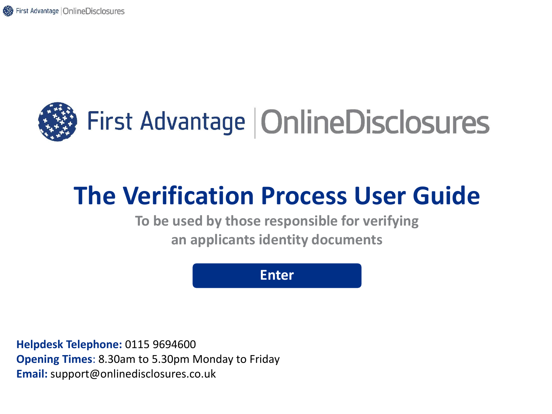<span id="page-0-0"></span>

# **The Verification Process User Guide**

**To be used by those responsible for verifying an applicants identity documents**

**[Enter](#page-1-0)**

**Helpdesk Telephone:** 0115 9694600 **Opening Times**: 8.30am to 5.30pm Monday to Friday **Email:** support@onlinedisclosures.co.uk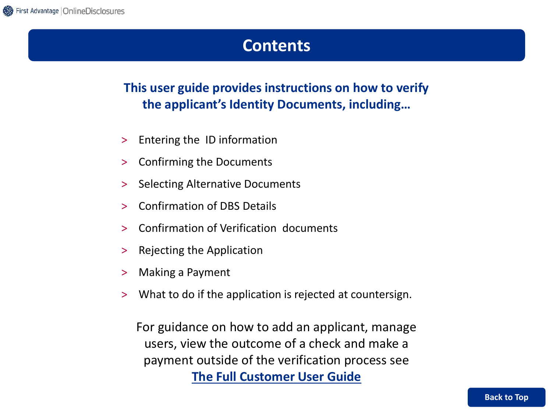### **Contents**

### <span id="page-1-0"></span>**This user guide provides instructions on how to verify the applicant's Identity Documents, including…**

- > Entering the ID information
- > Confirming the Documents
- > Selecting Alternative Documents
- > Confirmation of DBS Details
- > Confirmation of Verification documents
- > Rejecting the Application
- > Making a Payment
- > What to do if the application is rejected at countersign.

For guidance on how to add an applicant, manage users, view the outcome of a check and make a payment outside of the verification process see **[The Full Customer User Guide](https://fadv.onlinedisclosures.co.uk/helpdocs/FullOrgGuide.pdf)**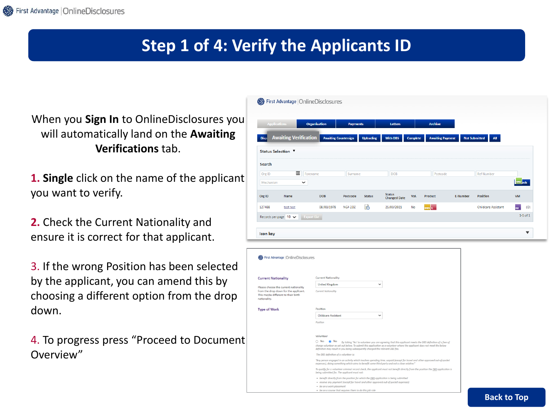## **Step 1 of 4: Verify the Applicants ID**

First Advantage | OnlineDisclosures

When you **Sign In** to OnlineDisclosures you will automatically land on the **Awaiting Verifications** tab.

- **1. Single** click on the name of the applicant you want to verify.
- **2.** Check the Current Nationality and ensure it is correct for that applicant.

3. If the wrong Position has been selected by the applicant, you can amend this by choosing a different option from the drop down.

4. To progress press "Proceed to Document Overview"

| <b>Applications</b>            |                                            | <b>Organisation</b> | <b>Payments</b>             |                  | <b>Letters</b>                       |                 | <b>Archive</b>          |                 |                                    |                    |              |
|--------------------------------|--------------------------------------------|---------------------|-----------------------------|------------------|--------------------------------------|-----------------|-------------------------|-----------------|------------------------------------|--------------------|--------------|
| <b>Disp</b>                    | <b>Awaiting Verification</b>               |                     | <b>Awaiting Countersign</b> | <b>Uploading</b> | <b>With DBS</b>                      | <b>Complete</b> | <b>Awaiting Payment</b> |                 | <b>Not Submitted</b><br><b>All</b> |                    |              |
| Status Selection ▼             |                                            |                     |                             |                  |                                      |                 |                         |                 |                                    |                    |              |
| Search                         |                                            |                     |                             |                  |                                      |                 |                         |                 |                                    |                    |              |
| Org ID                         | $\left\vert \cdots\right\vert$<br>Forename |                     | Surname                     |                  | <b>DOB</b>                           |                 | Postcode                |                 | <b>Ref Number</b>                  |                    |              |
| Mechanism                      | $\check{~}$                                |                     |                             |                  |                                      |                 |                         |                 |                                    | ong <sub>rch</sub> |              |
| Org ID                         | Name                                       | <b>DOB</b>          | Postcode                    | <b>Status</b>    | <b>Status</b><br><b>Changed Date</b> | Vol.            | Product                 | <b>E-Number</b> | <b>Position</b>                    | <b>VM</b>          |              |
| 127488                         | test test                                  | 08/03/1978          | <b>NG4 2DZ</b>              | B                | 25/03/2021                           | <b>No</b>       | <b>DBS</b> C            |                 | <b>Childcare Assistant</b>         | RE.                | (0)          |
| Records per page $10 \sqrt{ }$ | <b>Export List</b>                         |                     |                             |                  |                                      |                 |                         |                 |                                    |                    | $1-1$ of $1$ |
|                                |                                            |                     |                             |                  |                                      |                 |                         |                 |                                    |                    |              |
| Icon key                       |                                            |                     |                             |                  |                                      |                 |                         |                 |                                    |                    | ▼            |

| First Advantage   OnlineDisclosures                                                          |                                                                                                                                                                                                                                                                                                                                      |
|----------------------------------------------------------------------------------------------|--------------------------------------------------------------------------------------------------------------------------------------------------------------------------------------------------------------------------------------------------------------------------------------------------------------------------------------|
| <b>Current Nationality</b>                                                                   | <b>Current Nationality</b>                                                                                                                                                                                                                                                                                                           |
| Please choose the current nationality                                                        | <b>United Kingdom</b><br>v                                                                                                                                                                                                                                                                                                           |
| from the drop down for the applicant.<br>This maybe different to their birth<br>nationality. | <b>Current Nationality</b>                                                                                                                                                                                                                                                                                                           |
| <b>Type of Work</b>                                                                          | Position                                                                                                                                                                                                                                                                                                                             |
|                                                                                              | <b>Childcare Assistant</b><br>$\check{ }$                                                                                                                                                                                                                                                                                            |
|                                                                                              | Position                                                                                                                                                                                                                                                                                                                             |
|                                                                                              | Volunteer                                                                                                                                                                                                                                                                                                                            |
|                                                                                              | No<br>∩ Yes<br>By ticking 'Yes' to volunteer you are agreeing that this applicant meets the DBS definition of a free of<br>charae volunteer as set out below. To submit this application as a volunteer where the applicant does not meet the below<br>definition may result in you being subsequently charged the relevant DBS fee. |
|                                                                                              | The DBS definition of a volunteer is;                                                                                                                                                                                                                                                                                                |
|                                                                                              | "Any person engaged in an activity which involves spending time, unpaid (except for travel and other approved out-of-pocket<br>expenses), doing something which aims to benefit some third party and not a close relative."                                                                                                          |
|                                                                                              | To qualify for a volunteer criminal record check, the applicant must not benefit directly from the position the DBS application is<br>being submitted for. The applicant must not:                                                                                                                                                   |
|                                                                                              | - benefit directly from the position for which the DBS application is being submitted                                                                                                                                                                                                                                                |
|                                                                                              | - receive any payment (except for travel and other approved out-of-pocket expenses)<br>- be on a work placement                                                                                                                                                                                                                      |
|                                                                                              | . In an a causes that convices tham to do this job sale.                                                                                                                                                                                                                                                                             |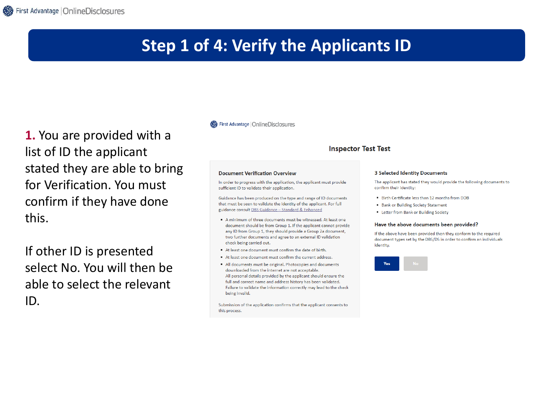### **Step 1 of 4: Verify the Applicants ID**

**1.** You are provided with a list of ID the applicant stated they are able to bring for Verification. You must confirm if they have done this.

If other ID is presented select No. You will then be able to select the relevant ID.

#### First Advantage | OnlineDisclosures

#### **Inspector Test Test**

#### **Document Verification Overview**

In order to progress with the application, the applicant must provide sufficient ID to validate their application.

Guidance has been produced on the type and range of ID documents that must be seen to validate the identity of the applicant. For full guidance consult DBS Guidance - Standard & Enhanced

- A minimum of three documents must be witnessed. At least one document should be from Group 1. If the applicant cannot provide any ID from Group 1, they should provide a Group 2a document, two further documents and agree to an external ID validation check being carried out.
- At least one document must confirm the date of birth.
- At least one document must confirm the current address.
- All documents must be original. Photocopies and documents downloaded from the internet are not acceptable. All personal details provided by the applicant should ensure the full and correct name and address history has been validated. Failure to validate the information correctly may lead to the check being invalid.

Submission of the application confirms that the applicant consents to this process.

#### **3 Selected Identity Documents**

The applicant has stated they would provide the following documents to confirm their identity:

- . Birth Certificate less than 12 months from DOB
- Bank or Building Society Statement
- Letter from Bank or Building Society

#### Have the above documents been provided?

If the above have been provided then they conform to the required document types set by the DBS/DS in order to confirm an individuals identity.

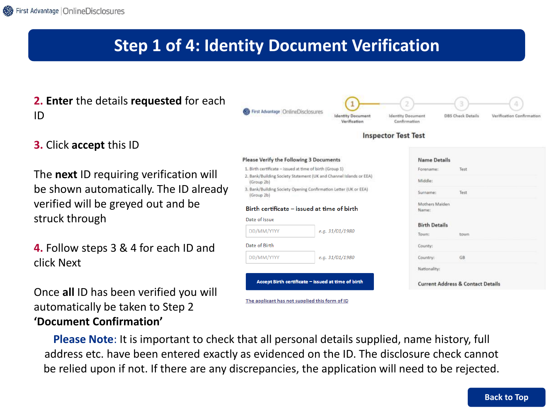### **Step 1 of 4: Identity Document Verification**

- **2. Enter** the details **requested** for each ID
- **3.** Click **accept** this ID

The **next** ID requiring verification will be shown automatically. The ID already verified will be greyed out and be struck through

**4.** Follow steps 3 & 4 for each ID and click Next

Once **all** ID has been verified you will automatically be taken to Step 2 **'Document Confirmation'**

| First Advantage   OnlineDisclosures                      | <b>Identity Document</b><br>Verification                           | 2<br><b>Identity Document</b><br>Confirmation | 3<br>4<br><b>DBS Check Details</b><br>Verification Confirmation |
|----------------------------------------------------------|--------------------------------------------------------------------|-----------------------------------------------|-----------------------------------------------------------------|
|                                                          |                                                                    | <b>Inspector Test Test</b>                    |                                                                 |
| Please Verify the Following 3 Documents                  |                                                                    | <b>Name Details</b>                           |                                                                 |
| 1. Birth certificate - issued at time of birth (Group 1) |                                                                    | Forename:                                     | Test                                                            |
| (Group 2b)                                               | 2. Bank/Building Society Statement (UK and Channel Islands or EEA) | Middle:                                       |                                                                 |
| (Group 2b)                                               | 3. Bank/Building Society Opening Confirmation Letter (UK or EEA)   |                                               | Test                                                            |
| Birth certificate - issued at time of birth              |                                                                    | Mothers Malden<br>Name:                       |                                                                 |
| Date of issue                                            |                                                                    |                                               |                                                                 |
| DD/MM/YYYY                                               | e.g. 31/01/1980                                                    | <b>Birth Details</b>                          |                                                                 |
|                                                          |                                                                    | Town:                                         | town                                                            |
| Date of Birth                                            |                                                                    | County:                                       |                                                                 |
| DD/MM/YYYY                                               | e.g. 31/01/1980                                                    | Country:                                      | GB                                                              |
|                                                          |                                                                    | Nationality:                                  |                                                                 |
|                                                          | Accept Birth certificate - issued at time of birth                 |                                               | <b>Current Address &amp; Contact Details</b>                    |

**Please Note**: It is important to check that all personal details supplied, name history, full address etc. have been entered exactly as evidenced on the ID. The disclosure check cannot be relied upon if not. If there are any discrepancies, the application will need to be rejected.

The applicant has not supplied this form of ID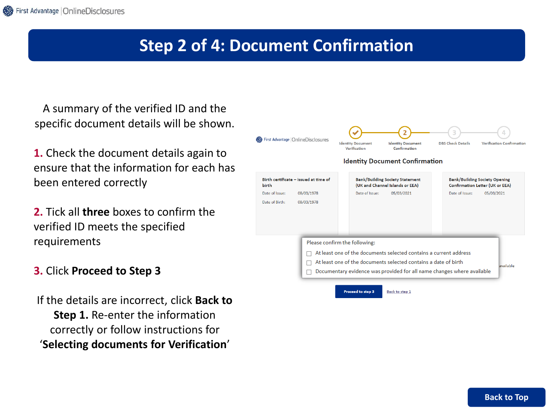### **Step 2 of 4: Document Confirmation**

A summary of the verified ID and the specific document details will be shown.

**1.** Check the document details again to ensure that the information for each has been entered correctly

**2.** Tick all **three** boxes to confirm the verified ID meets the specified requirements

#### **3.** Click **Proceed to Step 3**

If the details are incorrect, click **Back to Step 1.** Re-enter the information correctly or follow instructions for '**Selecting documents for Verification**'

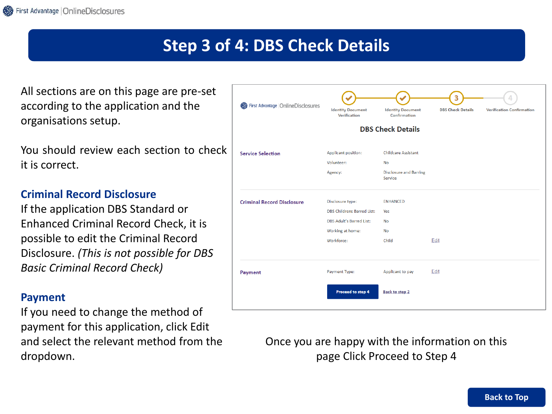### **Step 3 of 4: DBS Check Details**

All sections are on this page are pre-set according to the application and the organisations setup.

You should review each section to check it is correct.

#### **Criminal Record Disclosure**

If the application DBS Standard or Enhanced Criminal Record Check, it is possible to edit the Criminal Record Disclosure. *(This is not possible for DBS Basic Criminal Record Check)*

#### **Payment**

If you need to change the method of payment for this application, click Edit and select the relevant method from the dropdown.

| First Advantage   OnlineDisclosures | <b>Identity Document</b><br>Verification | <b>Identity Document</b><br>Confirmation | <b>DBS Check Details</b> | <b>Verification Confirmation</b> |
|-------------------------------------|------------------------------------------|------------------------------------------|--------------------------|----------------------------------|
|                                     |                                          | <b>DBS Check Details</b>                 |                          |                                  |
| <b>Service Selection</b>            | Applicant position:                      | <b>Childcare Assistant</b>               |                          |                                  |
|                                     | Volunteer:                               | No                                       |                          |                                  |
|                                     | Agency:                                  | <b>Disclosure and Barring</b><br>Service |                          |                                  |
| <b>Criminal Record Disclosure</b>   | Disclosure type:                         | <b>ENHANCED</b>                          |                          |                                  |
|                                     | <b>DBS Childrens Barred List:</b>        | Yes                                      |                          |                                  |
|                                     | <b>DBS Adult's Barred List:</b>          | No                                       |                          |                                  |
|                                     | Working at home:                         | <b>No</b>                                |                          |                                  |
|                                     | Workforce:                               | Child                                    | Edit                     |                                  |
| Payment                             | Payment Type:                            | Applicant to pay                         | Edit                     |                                  |
|                                     |                                          |                                          |                          |                                  |

Once you are happy with the information on this page Click Proceed to Step 4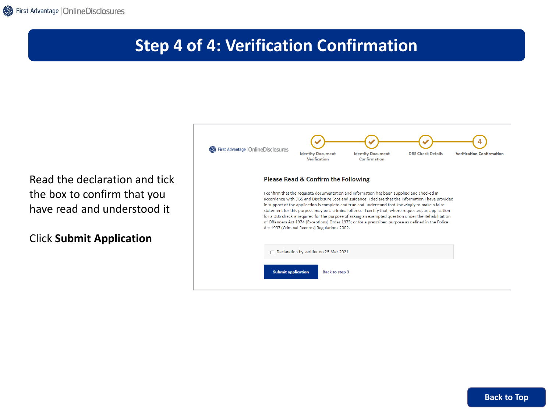## **Step 4 of 4: Verification Confirmation**

Read the declaration and tick the box to confirm that you have read and understood it

Click **Submit Application**

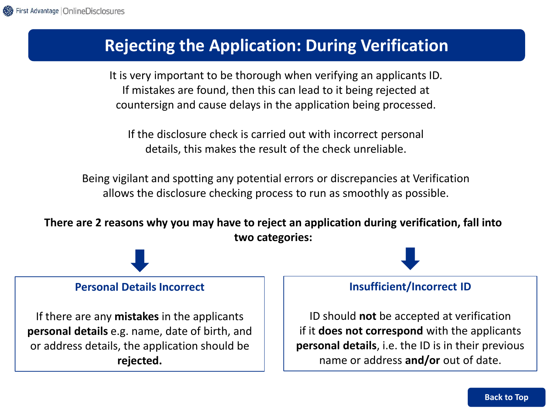### **Rejecting the Application: During Verification**

It is very important to be thorough when verifying an applicants ID. If mistakes are found, then this can lead to it being rejected at countersign and cause delays in the application being processed.

If the disclosure check is carried out with incorrect personal details, this makes the result of the check unreliable.

Being vigilant and spotting any potential errors or discrepancies at Verification allows the disclosure checking process to run as smoothly as possible.

**There are 2 reasons why you may have to reject an application during verification, fall into two categories:**



#### **Personal Details Incorrect**

If there are any **mistakes** in the applicants **personal details** e.g. name, date of birth, and or address details, the application should be **rejected.**

#### **Insufficient/Incorrect ID**

ID should **not** be accepted at verification if it **does not correspond** with the applicants **personal details**, i.e. the ID is in their previous name or address **and/or** out of date.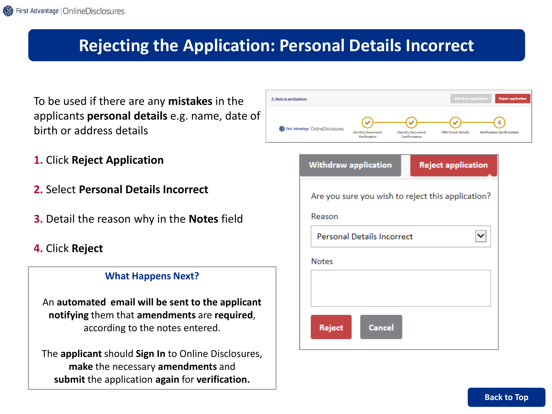### **Rejecting the Application: Personal Details Incorrect**

To be used if there are any **mistakes** in the applicants **personal details** e.g. name, date of birth or address details

- **1.** Click **Reject Application**
- **2.** Select **Personal Details Incorrect**
- **3.** Detail the reason why in the **Notes** field
- **4.** Click **Reject**

#### **What Happens Next?**

An **automated email will be sent to the applicant notifying** them that **amendments** are **required**, according to the notes entered.

The **applicant** should **Sign In** to Online Disclosures, **make** the necessary **amendments** and **submit** the application **again** for **verification.**

| $\leftarrow$ Back to applications   |                                          |                                          | <b>Withdraw application</b> | <b>Reject application</b>        |
|-------------------------------------|------------------------------------------|------------------------------------------|-----------------------------|----------------------------------|
| First Advantage   OnlineDisclosures | <b>Identity Document</b><br>Verification | <b>Identity Document</b><br>Confirmation | <b>DBS Check Details</b>    | <b>Verification Confirmation</b> |

| <b>Withdraw application</b>                       | <b>Reject application</b> |
|---------------------------------------------------|---------------------------|
| Are you sure you wish to reject this application? |                           |
| Reason                                            |                           |
| <b>Personal Details Incorrect</b>                 |                           |
| <b>Notes</b>                                      |                           |
|                                                   |                           |
|                                                   |                           |
| <b>Cancel</b><br><b>Reject</b>                    |                           |
|                                                   |                           |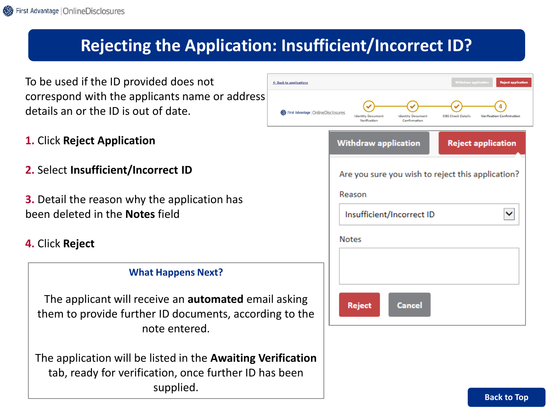## **Rejecting the Application: Insufficient/Incorrect ID?**

← Back to applicatio

First Advan

To be used if the ID provided does not correspond with the applicants name or address details an or the ID is out of date.

- **1.** Click **Reject Application**
- **2.** Select **Insufficient/Incorrect ID**
- **3.** Detail the reason why the application has been deleted in the **Notes** field
- **4.** Click **Reject**

#### **What Happens Next?**

The applicant will receive an **automated** email asking them to provide further ID documents, according to the note entered.

The application will be listed in the **Awaiting Verification**  tab, ready for verification, once further ID has been supplied.

| ns                      |                                                                                      | Withdraw application      | <b>Reject application</b>        |
|-------------------------|--------------------------------------------------------------------------------------|---------------------------|----------------------------------|
| age   OnlineDisclosures | <b>Identity Document</b><br><b>Identity Document</b><br>Verification<br>Confirmation | <b>DBS Check Details</b>  | <b>Verification Confirmation</b> |
|                         | <b>Withdraw application</b>                                                          | <b>Reject application</b> |                                  |
|                         | Are you sure you wish to reject this application?                                    |                           |                                  |
|                         | Reason<br>Insufficient/Incorrect ID                                                  |                           |                                  |
|                         | <b>Notes</b>                                                                         |                           |                                  |
|                         |                                                                                      |                           |                                  |
| 3<br>٦e                 | Cancel<br>Reject                                                                     |                           |                                  |

**[Back to Top](#page-0-0)**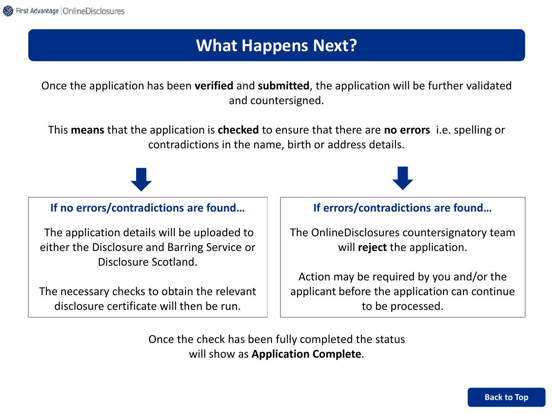## **What Happens Next?**

Once the application has been **verified** and **submitted**, the application will be further validated and countersigned.

This **means** that the application is **checked** to ensure that there are **no errors** i.e. spelling or contradictions in the name, birth or address details.

**If no errors/contradictions are found…**

The application details will be uploaded to either the Disclosure and Barring Service or Disclosure Scotland.

The necessary checks to obtain the relevant disclosure certificate will then be run.

#### **If errors/contradictions are found…**

The OnlineDisclosures countersignatory team will **reject** the application.

Action may be required by you and/or the applicant before the application can continue to be processed.

Once the check has been fully completed the status will show as **Application Complete**.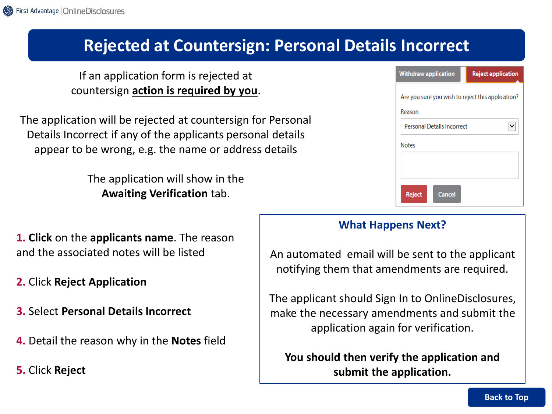### **Rejected at Countersign: Personal Details Incorrect**

If an application form is rejected at countersign **action is required by you**.

The application will be rejected at countersign for Personal Details Incorrect if any of the applicants personal details appear to be wrong, e.g. the name or address details

> The application will show in the **Awaiting Verification** tab.

| <b>Withdraw application</b>                       | <b>Reject application</b> |  |  |  |  |  |
|---------------------------------------------------|---------------------------|--|--|--|--|--|
| Are you sure you wish to reject this application? |                           |  |  |  |  |  |
| Reason                                            |                           |  |  |  |  |  |
| <b>Personal Details Incorrect</b>                 |                           |  |  |  |  |  |
| <b>Notes</b>                                      |                           |  |  |  |  |  |
|                                                   |                           |  |  |  |  |  |
|                                                   |                           |  |  |  |  |  |
| Cancel<br><b>Reject</b>                           |                           |  |  |  |  |  |

**1. Click** on the **applicants name**. The reason and the associated notes will be listed

- **2.** Click **Reject Application**
- **3.** Select **Personal Details Incorrect**
- **4.** Detail the reason why in the **Notes** field
- **5.** Click **Reject**

#### **What Happens Next?**

An automated email will be sent to the applicant notifying them that amendments are required.

The applicant should Sign In to OnlineDisclosures, make the necessary amendments and submit the application again for verification.

**You should then verify the application and submit the application.**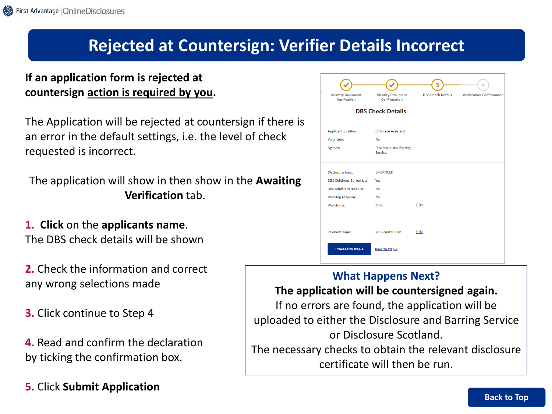### **Rejected at Countersign: Verifier Details Incorrect**

### **If an application form is rejected at countersign action is required by you.**

The Application will be rejected at countersign if there is an error in the default settings, i.e. the level of check requested is incorrect.

The application will show in then show in the **Awaiting Verification** tab.

**1. Click** on the **applicants name**. The DBS check details will be shown

**2.** Check the information and correct any wrong selections made

**3.** Click continue to Step 4

**4.** Read and confirm the declaration by ticking the confirmation box.

**5.** Click **Submit Application**

| <b>Identity Document</b><br>Verification | <b>Identity Document</b><br>Confirmation | <b>DBS Check Details</b> | <b>Verification Confirmation</b> |
|------------------------------------------|------------------------------------------|--------------------------|----------------------------------|
|                                          | <b>DBS Check Details</b>                 |                          |                                  |
| Applicant position:                      | <b>Childcare Assistant</b>               |                          |                                  |
| Volunteer:                               | <b>No</b>                                |                          |                                  |
| Agency:                                  | <b>Disclosure and Barring</b><br>Service |                          |                                  |
| Disclosure type:                         | <b>ENHANCED</b>                          |                          |                                  |
| <b>DBS Childrens Barred List:</b>        | Yes                                      |                          |                                  |
| <b>DBS Adult's Barred List:</b>          | <b>No</b>                                |                          |                                  |
| Working at home:                         | <b>No</b>                                |                          |                                  |
| Workforce:                               | Child                                    | Edit                     |                                  |
| Payment Type:                            | Applicant to pay                         | Edit                     |                                  |

#### **What Happens Next?**

### **The application will be countersigned again.**

If no errors are found, the application will be uploaded to either the Disclosure and Barring Service or Disclosure Scotland. The necessary checks to obtain the relevant disclosure

certificate will then be run.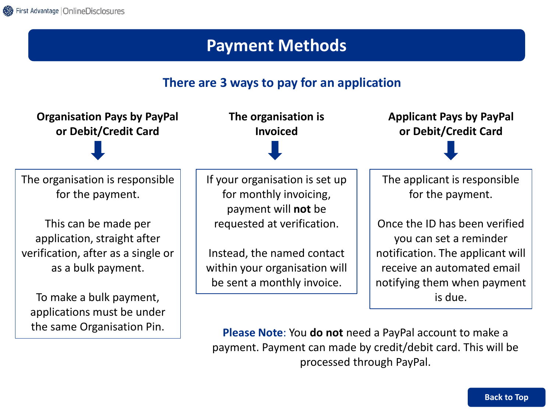### **Payment Methods**

### **There are 3 ways to pay for an application**



**Please Note**: You **do not** need a PayPal account to make a payment. Payment can made by credit/debit card. This will be processed through PayPal.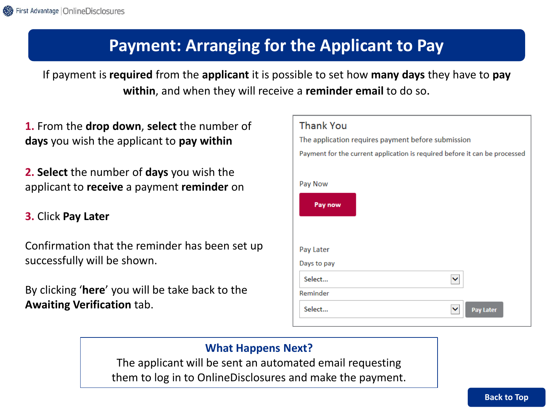## **Payment: Arranging for the Applicant to Pay**

If payment is **required** from the **applicant** it is possible to set how **many days** they have to **pay within**, and when they will receive a **reminder email** to do so.

**1.** From the **drop down**, **select** the number of **days** you wish the applicant to **pay within**

**2. Select** the number of **days** you wish the applicant to **receive** a payment **reminder** on

#### **3.** Click **Pay Later**

Confirmation that the reminder has been set up successfully will be shown.

By clicking '**here**' you will be take back to the **Awaiting Verification** tab.

| <b>Thank You</b>                                                           |  |  |  |  |
|----------------------------------------------------------------------------|--|--|--|--|
| The application requires payment before submission                         |  |  |  |  |
| Payment for the current application is required before it can be processed |  |  |  |  |
|                                                                            |  |  |  |  |
| Pay Now                                                                    |  |  |  |  |
| Pay now                                                                    |  |  |  |  |
|                                                                            |  |  |  |  |
|                                                                            |  |  |  |  |
| Pay Later                                                                  |  |  |  |  |
| Days to pay                                                                |  |  |  |  |
| Select                                                                     |  |  |  |  |
| Reminder                                                                   |  |  |  |  |
| Select<br><b>Pay Later</b>                                                 |  |  |  |  |

#### **What Happens Next?**

The applicant will be sent an automated email requesting them to log in to OnlineDisclosures and make the payment.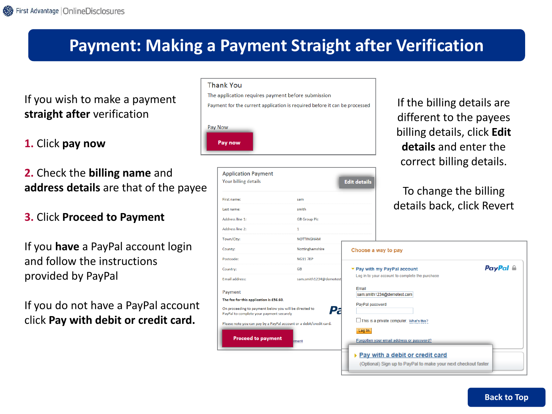### **Payment: Making a Payment Straight after Verification**

### If you wish to make a payment **straight after** verification

**1.** Click **pay now**

**2.** Check the **billing name** and **address details** are that of the payee

#### **3.** Click **Proceed to Payment**

If you **have** a PayPal account login and follow the instructions provided by PayPal

If you do not have a PayPal account click **Pay with debit or credit card.**

| Thank You |  |
|-----------|--|
|           |  |

The application requires payment before submission

Payment for the current application is required before it can be processed

| Pay Now |  |
|---------|--|
| Pay now |  |

| <b>Application Payment</b><br>Your billing details                                                 |                        | <b>Edit detail:</b>         |
|----------------------------------------------------------------------------------------------------|------------------------|-----------------------------|
| First name:                                                                                        | sam                    |                             |
| Last name:                                                                                         | smith                  |                             |
| <b>Address line 1:</b>                                                                             | <b>GB Group Plc</b>    |                             |
| <b>Address line 2:</b>                                                                             | 1.                     |                             |
| Town/City:                                                                                         | <b>NOTTINGHAM</b>      |                             |
| County:                                                                                            | Nottinghamshire        | <b>Choose</b>               |
| Postcode:                                                                                          | <b>NG11 7EP</b>        |                             |
| Country:                                                                                           | <b>GB</b>              | $\blacktriangledown$ Pay wi |
| <b>Email address:</b>                                                                              | sam.smith1234@demotest | Log in to                   |
| Payment<br>The fee for this application is £56.60.                                                 |                        | Email<br>sam.sn             |
| On proceeding to payment below you will be directed to<br>PayPal to complete your payment securely |                        | PayPal                      |
| Please note you can pay by a PayPal account or a debit/credit card.                                |                        | <b>This</b>                 |
| <b>Proceed to payment</b>                                                                          | ment                   | Log In<br>Forgotte          |
|                                                                                                    |                        | ۳av                         |

If the billing details are different to the payees billing details, click **Edit details** and enter the correct billing details.

### To change the billing details back, click Revert

| Choose a way to pay                                                                                    |          |
|--------------------------------------------------------------------------------------------------------|----------|
| ▼ Pay with my PayPal account<br>Log in to your account to complete the purchase                        | PayPal A |
| Email<br>sam.smith1234@demotest.com<br>PayPal password                                                 |          |
| $\Box$ This is a private computer. What's this?<br>Log In<br>Forgotten your email address or password? |          |
| ▶ Pay with a debit or credit card<br>(Optional) Sign up to PayPal to make your next checkout faster    |          |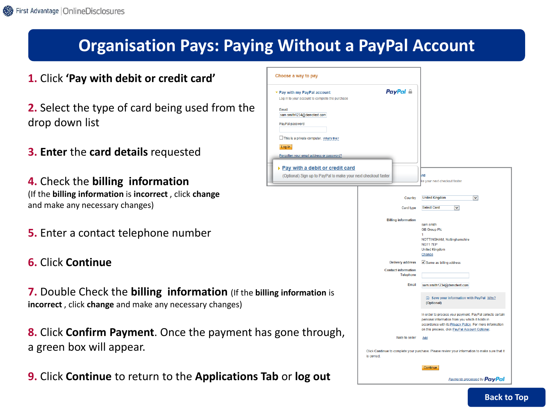## **Organisation Pays: Paying Without a PayPal Account**

- **1.** Click **'Pay with debit or credit card'**
- **2.** Select the type of card being used from the drop down list
- **3. Enter** the **card details** requested

**4.** Check the **billing information** (If the **billing information** is **incorrect** , click **change**  and make any necessary changes)

- **5.** Enter a contact telephone number
- **6.** Click **Continue**

**7.** Double Check the **billing information** (If the billing **incorrect** , click **change** and make any necessary changes)

**8.** Click **Confirm Payment**. Once the payment has g a green box will appear.

**9.** Click **Continue** to return to the **Applications Tab** 

| Choose a way to pay                                                                                                |                                                |                                                                                                                                                                                                                             |
|--------------------------------------------------------------------------------------------------------------------|------------------------------------------------|-----------------------------------------------------------------------------------------------------------------------------------------------------------------------------------------------------------------------------|
| ▼ Pay with my PayPal account<br>Log in to your account to complete the purchase                                    | <b>PayPal</b> A                                |                                                                                                                                                                                                                             |
| Email<br>sam.smith1234@demotest.com<br>PayPal password<br>This is a private computer. What's this?<br>Log In       |                                                |                                                                                                                                                                                                                             |
| Forgotten your email address or password?                                                                          |                                                |                                                                                                                                                                                                                             |
| $\triangleright$ Pay with a debit or credit card<br>(Optional) Sign up to PayPal to make your next checkout faster |                                                | rd<br>ke your next checkout faster                                                                                                                                                                                          |
|                                                                                                                    | Country                                        | <b>United Kingdom</b><br>▽                                                                                                                                                                                                  |
|                                                                                                                    | Card type                                      | <b>Select Card</b><br>$\overline{\mathbf{v}}$                                                                                                                                                                               |
|                                                                                                                    | <b>Billing information</b>                     | sam smith                                                                                                                                                                                                                   |
|                                                                                                                    |                                                | <b>GB Group Plc</b><br>1                                                                                                                                                                                                    |
|                                                                                                                    |                                                | NOTTINGHAM, Nottinghamshire<br><b>NG117EP</b><br><b>United Kingdom</b><br>Change                                                                                                                                            |
|                                                                                                                    | <b>Delivery address</b>                        | Same as billing address                                                                                                                                                                                                     |
|                                                                                                                    | <b>Contact information</b><br><b>Telephone</b> |                                                                                                                                                                                                                             |
|                                                                                                                    | Fmail                                          | sam.smith1234@demotest.com                                                                                                                                                                                                  |
| g information is                                                                                                   |                                                | Save your information with PayPal Why?<br>(Optional)                                                                                                                                                                        |
|                                                                                                                    |                                                | In order to process your payment, PayPal collects certain<br>personal information from you which it holds in<br>accordance with its Privacy Policy. For more information<br>on this process, click PayPal Account Optional. |
| gone through,                                                                                                      | Note to seller                                 | Add                                                                                                                                                                                                                         |
|                                                                                                                    | is correct.                                    | Click Continue to complete your purchase. Please review your information to make sure that it                                                                                                                               |
|                                                                                                                    |                                                | <b>Continue</b>                                                                                                                                                                                                             |
| <b>b</b> or l <b>og out</b>                                                                                        |                                                | <b>Payments processed by PayPal</b>                                                                                                                                                                                         |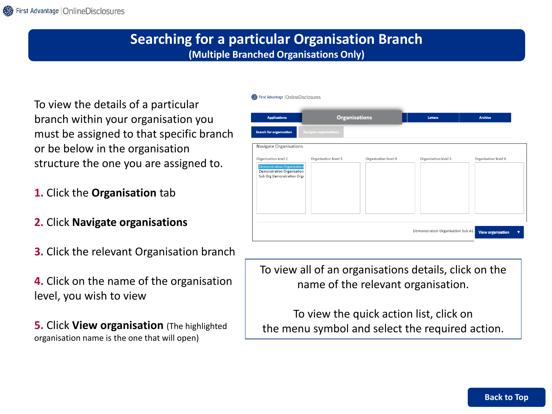### **Searching for a particular Organisation Branch (Multiple Branched Organisations Only)**

First Advantage | OnlineDisclosures

To view the details of a particular branch within your organisation you must be assigned to that specific branch or be below in the organisation structure the one you are assigned to.

- **1.** Click the **Organisation** tab
- **2.** Click **Navigate organisations**
- **3.** Click the relevant Organisation branch

**4.** Click on the name of the organisation level, you wish to view

**5.** Click **View organisation** (The highlighted organisation name is the one that will open)

| <b>Applications</b>                                                                                                   | <b>Organisations</b>   |                      | Letters                           | <b>Archive</b>           |
|-----------------------------------------------------------------------------------------------------------------------|------------------------|----------------------|-----------------------------------|--------------------------|
| Search for organisation                                                                                               | Navigate organisations |                      |                                   |                          |
| <b>Navigate Organisations</b>                                                                                         |                        |                      |                                   |                          |
| Organisation level 2<br><b>Demonstration Organisation</b><br>Demonstration Organisation<br>Sub Org Demonstration Orga | Organisation level 3   | Organisation level 4 | Organisation level 5              | Organisation level 6     |
|                                                                                                                       |                        |                      | Demonstration Organisation Sub A1 | <b>View organisation</b> |

To view all of an organisations details, click on the name of the relevant organisation.

To view the quick action list, click on the menu symbol and select the required action.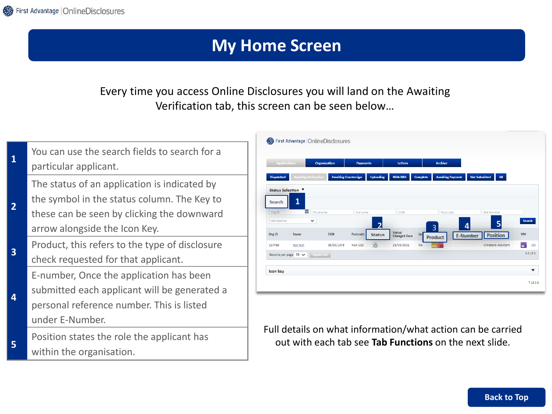### **My Home Screen**

### Every time you access Online Disclosures you will land on the Awaiting Verification tab, this screen can be seen below…

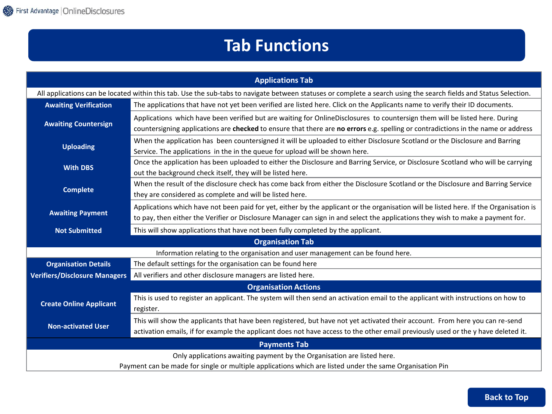## **Tab Functions**

| <b>Applications Tab</b>                                                                                                                                           |                                                                                                                                        |  |
|-------------------------------------------------------------------------------------------------------------------------------------------------------------------|----------------------------------------------------------------------------------------------------------------------------------------|--|
| All applications can be located within this tab. Use the sub-tabs to navigate between statuses or complete a search using the search fields and Status Selection. |                                                                                                                                        |  |
| <b>Awaiting Verification</b>                                                                                                                                      | The applications that have not yet been verified are listed here. Click on the Applicants name to verify their ID documents.           |  |
| <b>Awaiting Countersign</b>                                                                                                                                       | Applications which have been verified but are waiting for OnlineDisclosures to countersign them will be listed here. During            |  |
|                                                                                                                                                                   | countersigning applications are checked to ensure that there are no errors e.g. spelling or contradictions in the name or address      |  |
| <b>Uploading</b>                                                                                                                                                  | When the application has been countersigned it will be uploaded to either Disclosure Scotland or the Disclosure and Barring            |  |
|                                                                                                                                                                   | Service. The applications in the in the queue for upload will be shown here.                                                           |  |
| <b>With DBS</b>                                                                                                                                                   | Once the application has been uploaded to either the Disclosure and Barring Service, or Disclosure Scotland who will be carrying       |  |
|                                                                                                                                                                   | out the background check itself, they will be listed here.                                                                             |  |
| <b>Complete</b>                                                                                                                                                   | When the result of the disclosure check has come back from either the Disclosure Scotland or the Disclosure and Barring Service        |  |
|                                                                                                                                                                   | they are considered as complete and will be listed here.                                                                               |  |
| <b>Awaiting Payment</b>                                                                                                                                           | Applications which have not been paid for yet, either by the applicant or the organisation will be listed here. If the Organisation is |  |
|                                                                                                                                                                   | to pay, then either the Verifier or Disclosure Manager can sign in and select the applications they wish to make a payment for.        |  |
| <b>Not Submitted</b>                                                                                                                                              | This will show applications that have not been fully completed by the applicant.                                                       |  |
|                                                                                                                                                                   | <b>Organisation Tab</b>                                                                                                                |  |
|                                                                                                                                                                   | Information relating to the organisation and user management can be found here.                                                        |  |
| <b>Organisation Details</b>                                                                                                                                       | The default settings for the organisation can be found here                                                                            |  |
| <b>Verifiers/Disclosure Managers</b>                                                                                                                              | All verifiers and other disclosure managers are listed here.                                                                           |  |
| <b>Organisation Actions</b>                                                                                                                                       |                                                                                                                                        |  |
| <b>Create Online Applicant</b>                                                                                                                                    | This is used to register an applicant. The system will then send an activation email to the applicant with instructions on how to      |  |
|                                                                                                                                                                   | register.                                                                                                                              |  |
|                                                                                                                                                                   | This will show the applicants that have been registered, but have not yet activated their account. From here you can re-send           |  |
| <b>Non-activated User</b>                                                                                                                                         | activation emails, if for example the applicant does not have access to the other email previously used or the y have deleted it.      |  |
| <b>Payments Tab</b>                                                                                                                                               |                                                                                                                                        |  |
| Only applications awaiting payment by the Organisation are listed here.                                                                                           |                                                                                                                                        |  |
|                                                                                                                                                                   | Payment can be made for single or multiple applications which are listed under the same Organisation Pin                               |  |